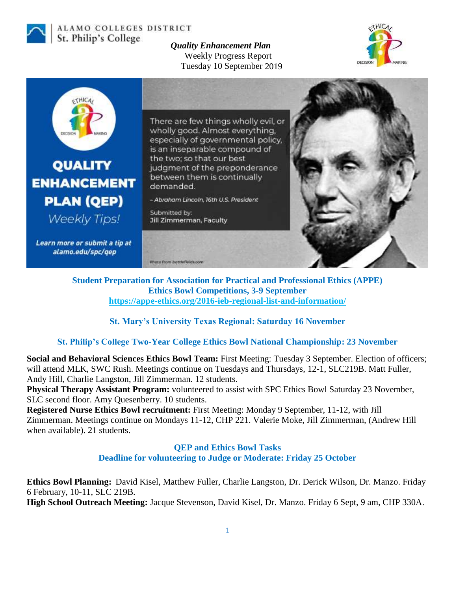

### ALAMO COLLEGES DISTRICT St. Philip's College

*Quality Enhancement Plan* Weekly Progress Report Tuesday 10 September 2019





**Student Preparation for Association for Practical and Professional Ethics (APPE) Ethics Bowl Competitions, 3-9 September <https://appe-ethics.org/2016-ieb-regional-list-and-information/>**

## **St. Mary's University Texas Regional: Saturday 16 November**

## **St. Philip's College Two-Year College Ethics Bowl National Championship: 23 November**

**Social and Behavioral Sciences Ethics Bowl Team:** First Meeting: Tuesday 3 September. Election of officers; will attend MLK, SWC Rush. Meetings continue on Tuesdays and Thursdays, 12-1, SLC219B. Matt Fuller, Andy Hill, Charlie Langston, Jill Zimmerman. 12 students.

**Physical Therapy Assistant Program:** volunteered to assist with SPC Ethics Bowl Saturday 23 November, SLC second floor. Amy Quesenberry. 10 students.

**Registered Nurse Ethics Bowl recruitment:** First Meeting: Monday 9 September, 11-12, with Jill Zimmerman. Meetings continue on Mondays 11-12, CHP 221. Valerie Moke, Jill Zimmerman, (Andrew Hill when available). 21 students.

## **QEP and Ethics Bowl Tasks Deadline for volunteering to Judge or Moderate: Friday 25 October**

**Ethics Bowl Planning:** David Kisel, Matthew Fuller, Charlie Langston, Dr. Derick Wilson, Dr. Manzo. Friday 6 February, 10-11, SLC 219B. **High School Outreach Meeting:** Jacque Stevenson, David Kisel, Dr. Manzo. Friday 6 Sept, 9 am, CHP 330A.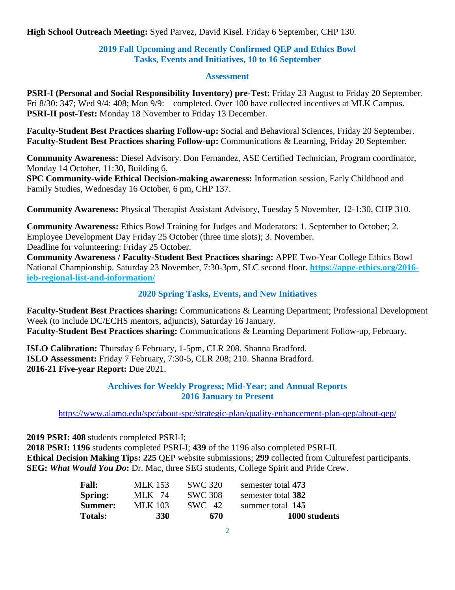**High School Outreach Meeting:** Syed Parvez, David Kisel. Friday 6 September, CHP 130.

## **2019 Fall Upcoming and Recently Confirmed QEP and Ethics Bowl Tasks, Events and Initiatives, 10 to 16 September**

#### **Assessment**

**PSRI-I (Personal and Social Responsibility Inventory) pre-Test:** Friday 23 August to Friday 20 September. Fri 8/30: 347; Wed 9/4: 408; Mon 9/9: completed. Over 100 have collected incentives at MLK Campus. **PSRI-II post-Test:** Monday 18 November to Friday 13 December.

**Faculty-Student Best Practices sharing Follow-up:** Social and Behavioral Sciences, Friday 20 September. **Faculty-Student Best Practices sharing Follow-up:** Communications & Learning, Friday 20 September.

**Community Awareness:** Diesel Advisory. Don Fernandez, ASE Certified Technician, Program coordinator, Monday 14 October, 11:30, Building 6.

**SPC Community-wide Ethical Decision-making awareness:** Information session, Early Childhood and Family Studies, Wednesday 16 October, 6 pm, CHP 137.

**Community Awareness:** Physical Therapist Assistant Advisory, Tuesday 5 November, 12-1:30, CHP 310.

**Community Awareness:** Ethics Bowl Training for Judges and Moderators: 1. September to October; 2. Employee Development Day Friday 25 October (three time slots); 3. November. Deadline for volunteering: Friday 25 October.

**Community Awareness / Faculty-Student Best Practices sharing:** APPE Two-Year College Ethics Bowl National Championship. Saturday 23 November, 7:30-3pm, SLC second floor. **[https://appe-ethics.org/2016](https://appe-ethics.org/2016-ieb-regional-list-and-information/) [ieb-regional-list-and-information/](https://appe-ethics.org/2016-ieb-regional-list-and-information/)**

## **2020 Spring Tasks, Events, and New Initiatives**

**Faculty-Student Best Practices sharing:** Communications & Learning Department; Professional Development Week (to include DC/ECHS mentors, adjuncts), Saturday 16 January. **Faculty-Student Best Practices sharing:** Communications & Learning Department Follow-up, February.

**ISLO Calibration:** Thursday 6 February, 1-5pm, CLR 208. Shanna Bradford. **ISLO Assessment:** Friday 7 February, 7:30-5, CLR 208; 210. Shanna Bradford. **2016-21 Five-year Report:** Due 2021.

### **Archives for Weekly Progress; Mid-Year; and Annual Reports 2016 January to Present**

<https://www.alamo.edu/spc/about-spc/strategic-plan/quality-enhancement-plan-qep/about-qep/>

**2019 PSRI: 408** students completed PSRI-I;

**2018 PSRI: 1196** students completed PSRI-I; **439** of the 1196 also completed PSRI-II. **Ethical Decision Making Tips: 225** QEP website submissions; **299** collected from Culturefest participants. **SEG:** *What Would You Do***:** Dr. Mac, three SEG students, College Spirit and Pride Crew.

| <b>Totals:</b> | <b>330</b> | 670            | 1000 students      |
|----------------|------------|----------------|--------------------|
| <b>Summer:</b> | MLK 103    | SWC 42         | summer total 145   |
| Spring:        | MLK 74     | <b>SWC 308</b> | semester total 382 |
| <b>Fall:</b>   | MLK 153    | <b>SWC 320</b> | semester total 473 |